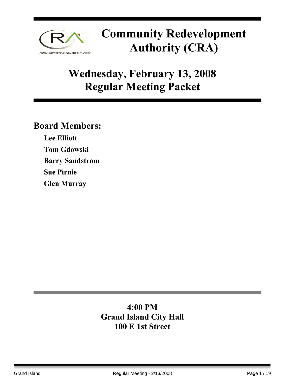

## **Wednesday, February 13, 2008 Regular Meeting Packet**

### **Board Members:**

**Lee Elliott Tom Gdowski Barry Sandstrom Sue Pirnie Glen Murray** 

### **4:00 PM Grand Island City Hall 100 E 1st Street**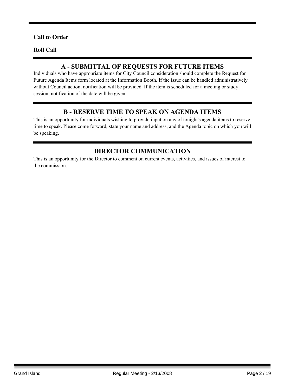### **Call to Order**

#### **Roll Call**

### **A - SUBMITTAL OF REQUESTS FOR FUTURE ITEMS**

Individuals who have appropriate items for City Council consideration should complete the Request for Future Agenda Items form located at the Information Booth. If the issue can be handled administratively without Council action, notification will be provided. If the item is scheduled for a meeting or study session, notification of the date will be given.

### **B - RESERVE TIME TO SPEAK ON AGENDA ITEMS**

This is an opportunity for individuals wishing to provide input on any of tonight's agenda items to reserve time to speak. Please come forward, state your name and address, and the Agenda topic on which you will be speaking.

### **DIRECTOR COMMUNICATION**

This is an opportunity for the Director to comment on current events, activities, and issues of interest to the commission.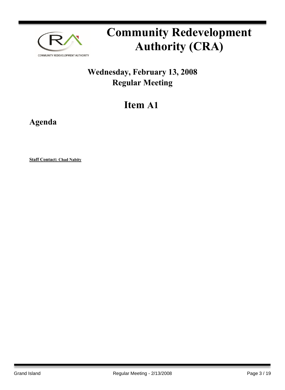

### **Wednesday, February 13, 2008 Regular Meeting**

## **Item A1**

**Agenda**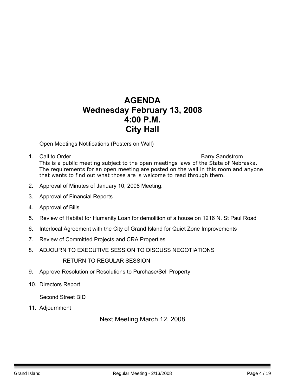### **AGENDA Wednesday February 13, 2008 4:00 P.M. City Hall**

Open Meetings Notifications (Posters on Wall)

- 1. Call to Order **Barry Sandstrom Barry Sandstrom** This is a public meeting subject to the open meetings laws of the State of Nebraska. The requirements for an open meeting are posted on the wall in this room and anyone that wants to find out what those are is welcome to read through them.
- 2. Approval of Minutes of January 10, 2008 Meeting.
- 3. Approval of Financial Reports
- 4. Approval of Bills
- 5. Review of Habitat for Humanity Loan for demolition of a house on 1216 N. St Paul Road
- 6. Interlocal Agreement with the City of Grand Island for Quiet Zone Improvements
- 7. Review of Committed Projects and CRA Properties
- 8. ADJOURN TO EXECUTIVE SESSION TO DISCUSS NEGOTIATIONS

RETURN TO REGULAR SESSION

- 9. Approve Resolution or Resolutions to Purchase/Sell Property
- 10. Directors Report

Second Street BID

11. Adjournment

Next Meeting March 12, 2008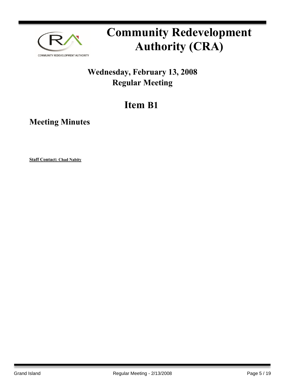

### **Wednesday, February 13, 2008 Regular Meeting**

## **Item B1**

**Meeting Minutes**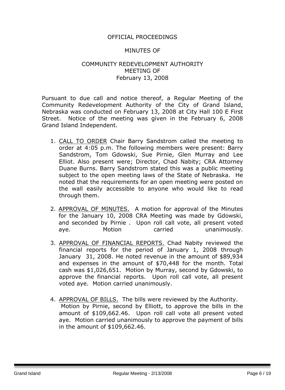### OFFICIAL PROCEEDINGS

#### MINUTES OF

### COMMUNITY REDEVELOPMENT AUTHORITY MEETING OF February 13, 2008

Pursuant to due call and notice thereof, a Regular Meeting of the Community Redevelopment Authority of the City of Grand Island, Nebraska was conducted on February 13, 2008 at City Hall 100 E First Street. Notice of the meeting was given in the February 6, 2008 Grand Island Independent.

- 1. CALL TO ORDER Chair Barry Sandstrom called the meeting to order at 4:05 p.m. The following members were present: Barry Sandstrom, Tom Gdowski, Sue Pirnie, Glen Murray and Lee Elliot. Also present were; Director, Chad Nabity; CRA Attorney Duane Burns. Barry Sandstrom stated this was a public meeting subject to the open meeting laws of the State of Nebraska. He noted that the requirements for an open meeting were posted on the wall easily accessible to anyone who would like to read through them.
- 2. APPROVAL OF MINUTES. A motion for approval of the Minutes for the January 10, 2008 CRA Meeting was made by Gdowski, and seconded by Pirnie . Upon roll call vote, all present voted aye. Motion carried unanimously.
- 3. APPROVAL OF FINANCIAL REPORTS. Chad Nabity reviewed the financial reports for the period of January 1, 2008 through January 31, 2008. He noted revenue in the amount of \$89,934 and expenses in the amount of \$70,448 for the month. Total cash was \$1,026,651. Motion by Murray, second by Gdowski, to approve the financial reports. Upon roll call vote, all present voted aye. Motion carried unanimously.
- 4. APPROVAL OF BILLS. The bills were reviewed by the Authority. Motion by Pirnie, second by Elliott, to approve the bills in the amount of \$109,662.46. Upon roll call vote all present voted aye. Motion carried unanimously to approve the payment of bills in the amount of \$109,662.46.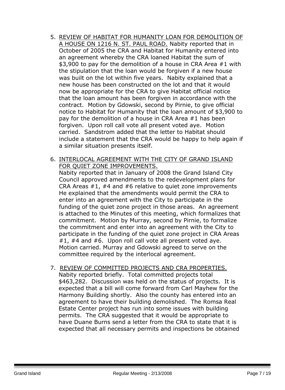- 5. REVIEW OF HABITAT FOR HUMANITY LOAN FOR DEMOLITION OF A HOUSE ON 1216 N. ST. PAUL ROAD. Nabity reported that in October of 2005 the CRA and Habitat for Humanity entered into an agreement whereby the CRA loaned Habitat the sum of \$3,900 to pay for the demolition of a house in CRA Area #1 with the stipulation that the loan would be forgiven if a new house was built on the lot within five years. Nabity explained that a new house has been constructed on the lot and that it would now be appropriate for the CRA to give Habitat official notice that the loan amount has been forgiven in accordance with the contract. Motion by Gdowski, second by Pirnie, to give official notice to Habitat for Humanity that the loan amount of \$3,900 to pay for the demolition of a house in CRA Area #1 has been forgiven. Upon roll call vote all present voted aye. Motion carried. Sandstrom added that the letter to Habitat should include a statement that the CRA would be happy to help again if a similar situation presents itself.
- 6. INTERLOCAL AGREEMENT WITH THE CITY OF GRAND ISLAND FOR QUIET ZONE IMPROVEMENTS.

Nabity reported that in January of 2008 the Grand Island City Council approved amendments to the redevelopment plans for CRA Areas #1, #4 and #6 relative to quiet zone improvements He explained that the amendments would permit the CRA to enter into an agreement with the City to participate in the funding of the quiet zone project in those areas. An agreement is attached to the Minutes of this meeting, which formalizes that commitment. Motion by Murray, second by Pirnie, to formalize the commitment and enter into an agreement with the City to participate in the funding of the quiet zone project in CRA Areas #1, #4 and #6. Upon roll call vote all present voted aye. Motion carried. Murray and Gdowski agreed to serve on the committee required by the interlocal agreement.

7. REVIEW OF COMMITTED PROJECTS AND CRA PROPERTIES. Nabity reported briefly. Total committed projects total \$463,282. Discussion was held on the status of projects. It is expected that a bill will come forward from Carl Mayhew for the Harmony Building shortly. Also the county has entered into an agreement to have their building demolished. The Romsa Real Estate Center project has run into some issues with building permits. The CRA suggested that it would be appropriate to have Duane Burns send a letter from the CRA to state that it is expected that all necessary permits and inspections be obtained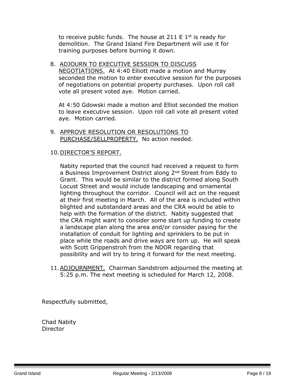to receive public funds. The house at  $211 \text{ E } 1^{\text{st}}$  is ready for demolition. The Grand Island Fire Department will use it for training purposes before burning it down.

8. ADJOURN TO EXECUTIVE SESSION TO DISCUSS NEGOTIATIONS. At 4:40 Elliott made a motion and Murray seconded the motion to enter executive session for the purposes of negotiations on potential property purchases. Upon roll call vote all present voted aye. Motion carried.

At 4:50 Gdowski made a motion and Elliot seconded the motion to leave executive session. Upon roll call vote all present voted aye. Motion carried.

9. APPROVE RESOLUTION OR RESOLUTIONS TO PURCHASE/SELLPROPERTY. No action needed.

#### 10.DIRECTOR'S REPORT.

Nabity reported that the council had received a request to form a Business Improvement District along 2<sup>nd</sup> Street from Eddy to Grant. This would be similar to the district formed along South Locust Street and would include landscaping and ornamental lighting throughout the corridor. Council will act on the request at their first meeting in March. All of the area is included within blighted and substandard areas and the CRA would be able to help with the formation of the district. Nabity suggested that the CRA might want to consider some start up funding to create a landscape plan along the area and/or consider paying for the installation of conduit for lighting and sprinklers to be put in place while the roads and drive ways are torn up. He will speak with Scott Grippenstroh from the NDOR regarding that possibility and will try to bring it forward for the next meeting.

11.ADJOURNMENT. Chairman Sandstrom adjourned the meeting at 5:25 p.m. The next meeting is scheduled for March 12, 2008.

Respectfully submitted,

Chad Nabity **Director**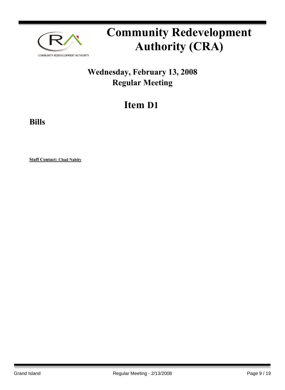

### **Wednesday, February 13, 2008 Regular Meeting**

## **Item D1**

**Bills**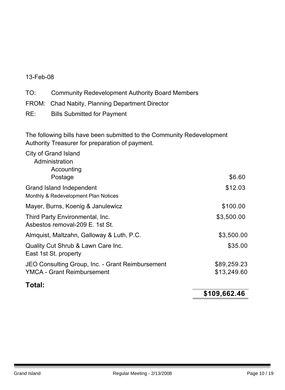### 13-Feb-08

TO: Community Redevelopment Authority Board Members

- FROM: Chad Nabity, Planning Department Director
- RE: Bills Submitted for Payment

The following bills have been submitted to the Community Redevelopment Authority Treasurer for preparation of payment.

|                                                                    | \$109,662.46 |
|--------------------------------------------------------------------|--------------|
| Total:                                                             |              |
| <b>YMCA - Grant Reimbursement</b>                                  | \$13,249.60  |
| JEO Consulting Group, Inc. - Grant Reimbursement                   | \$89,259.23  |
| Quality Cut Shrub & Lawn Care Inc.<br>East 1st St. property        | \$35.00      |
| Almquist, Maltzahn, Galloway & Luth, P.C.                          | \$3,500.00   |
| Third Party Environmental, Inc.<br>Asbestos removal-209 E. 1st St. | \$3,500.00   |
| Mayer, Burns, Koenig & Janulewicz                                  | \$100.00     |
| Grand Island Independent<br>Monthly & Redevelopment Plan Notices   | \$12.03      |
| Administration<br>Accounting<br>Postage                            | \$6.60       |
| City of Grand Island                                               |              |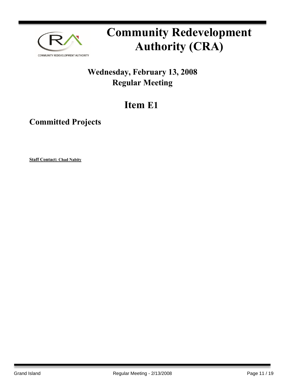

### **Wednesday, February 13, 2008 Regular Meeting**

## **Item E1**

### **Committed Projects**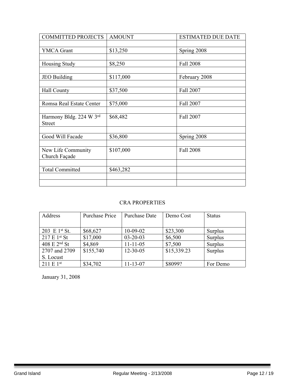| <b>COMMITTED PROJECTS</b> | <b>AMOUNT</b> | <b>ESTIMATED DUE DATE</b> |
|---------------------------|---------------|---------------------------|
|                           |               |                           |
| <b>YMCA</b> Grant         | \$13,250      | Spring 2008               |
|                           |               |                           |
| Housing Study             | \$8,250       | <b>Fall 2008</b>          |
|                           |               |                           |
| <b>JEO</b> Building       | \$117,000     | February 2008             |
|                           |               |                           |
| Hall County               | \$37,500      | Fall 2007                 |
|                           |               |                           |
| Romsa Real Estate Center  | \$75,000      | Fall 2007                 |
|                           |               |                           |
| Harmony Bldg. 224 W 3rd   | \$68,482      | Fall 2007                 |
| <b>Street</b>             |               |                           |
|                           |               |                           |
| Good Will Facade          | \$36,800      | Spring 2008               |
|                           |               |                           |
| New Life Community        | \$107,000     | Fall 2008                 |
| Church Façade             |               |                           |
|                           |               |                           |
| <b>Total Committed</b>    | \$463,282     |                           |
|                           |               |                           |
|                           |               |                           |

### CRA PROPERTIES

| Address                  | Purchase Price | <b>Purchase Date</b> | Demo Cost   | <b>Status</b>  |
|--------------------------|----------------|----------------------|-------------|----------------|
|                          |                |                      |             |                |
| 203 E $1^{st}$ St.       | \$68,627       | $10-09-02$           | \$23,300    | Surplus        |
| 217 E 1 <sup>st</sup> St | \$17,000       | $03 - 20 - 03$       | \$6,500     | Surplus        |
| 408 E 2 <sup>nd</sup> St | \$4,869        | $11 - 11 - 05$       | \$7,500     | <b>Surplus</b> |
| 2707 and 2709            | \$155,740      | $12 - 30 - 05$       | \$15,339.23 | Surplus        |
| S. Locust                |                |                      |             |                |
| $211 E 1^{st}$           | \$34,702       | $11 - 13 - 07$       | \$8099?     | For Demo       |

January 31, 2008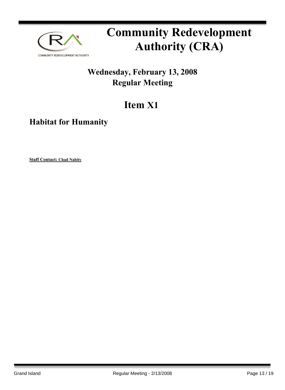

### **Wednesday, February 13, 2008 Regular Meeting**

## **Item X1**

### **Habitat for Humanity**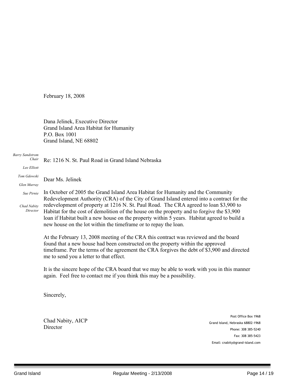February 18, 2008

Dana Jelinek, Executive Director Grand Island Area Habitat for Humanity P.O. Box 1001 Grand Island, NE 68802

#### *Barry Sandstrom Chair*

Re: 1216 N. St. Paul Road in Grand Island Nebraska

*Lee Elliott Tom Gdowski*

Dear Ms. Jelinek

*Glen Murray Sue Pirnie*

*Chad Nabity*

*Director*

In October of 2005 the Grand Island Area Habitat for Humanity and the Community Redevelopment Authority (CRA) of the City of Grand Island entered into a contract for the redevelopment of property at 1216 N. St. Paul Road. The CRA agreed to loan \$3,900 to Habitat for the cost of demolition of the house on the property and to forgive the \$3,900 loan if Habitat built a new house on the property within 5 years. Habitat agreed to build a new house on the lot within the timeframe or to repay the loan.

At the February 13, 2008 meeting of the CRA this contract was reviewed and the board found that a new house had been constructed on the property within the approved timeframe. Per the terms of the agreement the CRA forgives the debt of \$3,900 and directed me to send you a letter to that effect.

It is the sincere hope of the CRA board that we may be able to work with you in this manner again. Feel free to contact me if you think this may be a possibility.

Sincerely,

Chad Nabity, AICP **Director** 

Post Office Box 1968 Grand Island, Nebraska 68802-1968 Phone: 308 385-5240 Fax: 308 385-5423 Email: cnabity@grand-island.com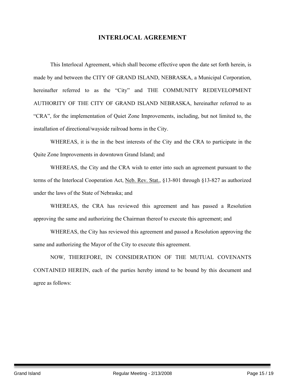### **INTERLOCAL AGREEMENT**

This Interlocal Agreement, which shall become effective upon the date set forth herein, is made by and between the CITY OF GRAND ISLAND, NEBRASKA, a Municipal Corporation, hereinafter referred to as the "City" and THE COMMUNITY REDEVELOPMENT AUTHORITY OF THE CITY OF GRAND ISLAND NEBRASKA, hereinafter referred to as "CRA", for the implementation of Quiet Zone Improvements, including, but not limited to, the installation of directional/wayside railroad horns in the City.

WHEREAS, it is the in the best interests of the City and the CRA to participate in the Quite Zone Improvements in downtown Grand Island; and

WHEREAS, the City and the CRA wish to enter into such an agreement pursuant to the terms of the Interlocal Cooperation Act, Neb. Rev. Stat., §13-801 through §13-827 as authorized under the laws of the State of Nebraska; and

WHEREAS, the CRA has reviewed this agreement and has passed a Resolution approving the same and authorizing the Chairman thereof to execute this agreement; and

WHEREAS, the City has reviewed this agreement and passed a Resolution approving the same and authorizing the Mayor of the City to execute this agreement.

NOW, THEREFORE, IN CONSIDERATION OF THE MUTUAL COVENANTS CONTAINED HEREIN, each of the parties hereby intend to be bound by this document and agree as follows: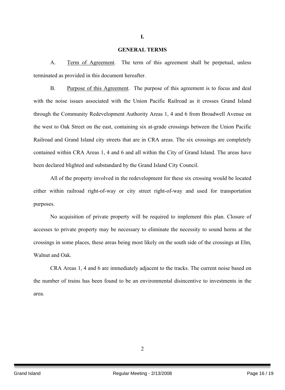#### **GENERAL TERMS**

**I.**

A. Term of Agreement. The term of this agreement shall be perpetual, unless terminated as provided in this document hereafter.

B. Purpose of this Agreement. The purpose of this agreement is to focus and deal with the noise issues associated with the Union Pacific Railroad as it crosses Grand Island through the Community Redevelopment Authority Areas 1, 4 and 6 from Broadwell Avenue on the west to Oak Street on the east, containing six at-grade crossings between the Union Pacific Railroad and Grand Island city streets that are in CRA areas. The six crossings are completely contained within CRA Areas 1, 4 and 6 and all within the City of Grand Island. The areas have been declared blighted and substandard by the Grand Island City Council.

All of the property involved in the redevelopment for these six crossing would be located either within railroad right-of-way or city street right-of-way and used for transportation purposes.

No acquisition of private property will be required to implement this plan. Closure of accesses to private property may be necessary to eliminate the necessity to sound horns at the crossings in some places, these areas being most likely on the south side of the crossings at Elm, Walnut and Oak

CRA Areas 1, 4 and 6 are immediately adjacent to the tracks. The current noise based on the number of trains has been found to be an environmental disincentive to investments in the area.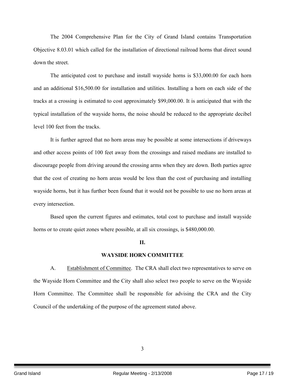The 2004 Comprehensive Plan for the City of Grand Island contains Transportation Objective 8.03.01 which called for the installation of directional railroad horns that direct sound down the street.

The anticipated cost to purchase and install wayside horns is \$33,000.00 for each horn and an additional \$16,500.00 for installation and utilities. Installing a horn on each side of the tracks at a crossing is estimated to cost approximately \$99,000.00. It is anticipated that with the typical installation of the wayside horns, the noise should be reduced to the appropriate decibel level 100 feet from the tracks.

It is further agreed that no horn areas may be possible at some intersections if driveways and other access points of 100 feet away from the crossings and raised medians are installed to discourage people from driving around the crossing arms when they are down. Both parties agree that the cost of creating no horn areas would be less than the cost of purchasing and installing wayside horns, but it has further been found that it would not be possible to use no horn areas at every intersection.

Based upon the current figures and estimates, total cost to purchase and install wayside horns or to create quiet zones where possible, at all six crossings, is \$480,000.00.

#### **II.**

#### **WAYSIDE HORN COMMITTEE**

A. Establishment of Committee. The CRA shall elect two representatives to serve on the Wayside Horn Committee and the City shall also select two people to serve on the Wayside Horn Committee. The Committee shall be responsible for advising the CRA and the City Council of the undertaking of the purpose of the agreement stated above.

3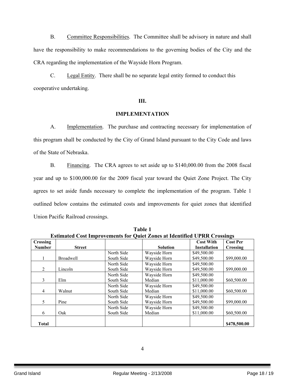B. Committee Responsibilities. The Committee shall be advisory in nature and shall have the responsibility to make recommendations to the governing bodies of the City and the CRA regarding the implementation of the Wayside Horn Program.

C. Legal Entity. There shall be no separate legal entity formed to conduct this cooperative undertaking.

#### **III.**

#### **IMPLEMENTATION**

A. Implementation. The purchase and contracting necessary for implementation of this program shall be conducted by the City of Grand Island pursuant to the City Code and laws of the State of Nebraska.

B. Financing. The CRA agrees to set aside up to \$140,000.00 from the 2008 fiscal year and up to \$100,000.00 for the 2009 fiscal year toward the Quiet Zone Project. The City agrees to set aside funds necessary to complete the implementation of the program. Table 1 outlined below contains the estimated costs and improvements for quiet zones that identified Union Pacific Railroad crossings.

| <b>Estimated Cost Improvements for Quiet Zones at Identified UPRR Crossings</b> |                  |            |                 |                     |                 |
|---------------------------------------------------------------------------------|------------------|------------|-----------------|---------------------|-----------------|
| <b>Crossing</b>                                                                 |                  |            |                 | <b>Cost With</b>    | <b>Cost Per</b> |
| <b>Number</b>                                                                   | <b>Street</b>    |            | <b>Solution</b> | <b>Installation</b> | Crossing        |
|                                                                                 |                  | North Side | Wayside Horn    | \$49,500.00         |                 |
|                                                                                 | <b>Broadwell</b> | South Side | Wayside Horn    | \$49,500.00         | \$99,000.00     |
|                                                                                 |                  | North Side | Wayside Horn    | \$49,500.00         |                 |
| 2                                                                               | Lincoln          | South Side | Wayside Horn    | \$49,500.00         | \$99,000.00     |
|                                                                                 |                  | North Side | Wayside Horn    | \$49,500.00         |                 |
| 3                                                                               | Elm              | South Side | Median          | \$11,000.00         | \$60,500.00     |
|                                                                                 |                  | North Side | Wayside Horn    | \$49,500.00         |                 |
| 4                                                                               | Walnut           | South Side | Median          | \$11,000.00         | \$60,500.00     |
|                                                                                 |                  | North Side | Wayside Horn    | \$49,500.00         |                 |
| 5                                                                               | Pine             | South Side | Wayside Horn    | \$49,500.00         | \$99,000.00     |
|                                                                                 |                  | North Side | Wayside Horn    | \$49,500.00         |                 |
| 6                                                                               | Oak              | South Side | Median          | \$11,000.00         | \$60,500.00     |
|                                                                                 |                  |            |                 |                     |                 |
| <b>Total</b>                                                                    |                  |            |                 |                     | \$478,500.00    |

**Table 1**